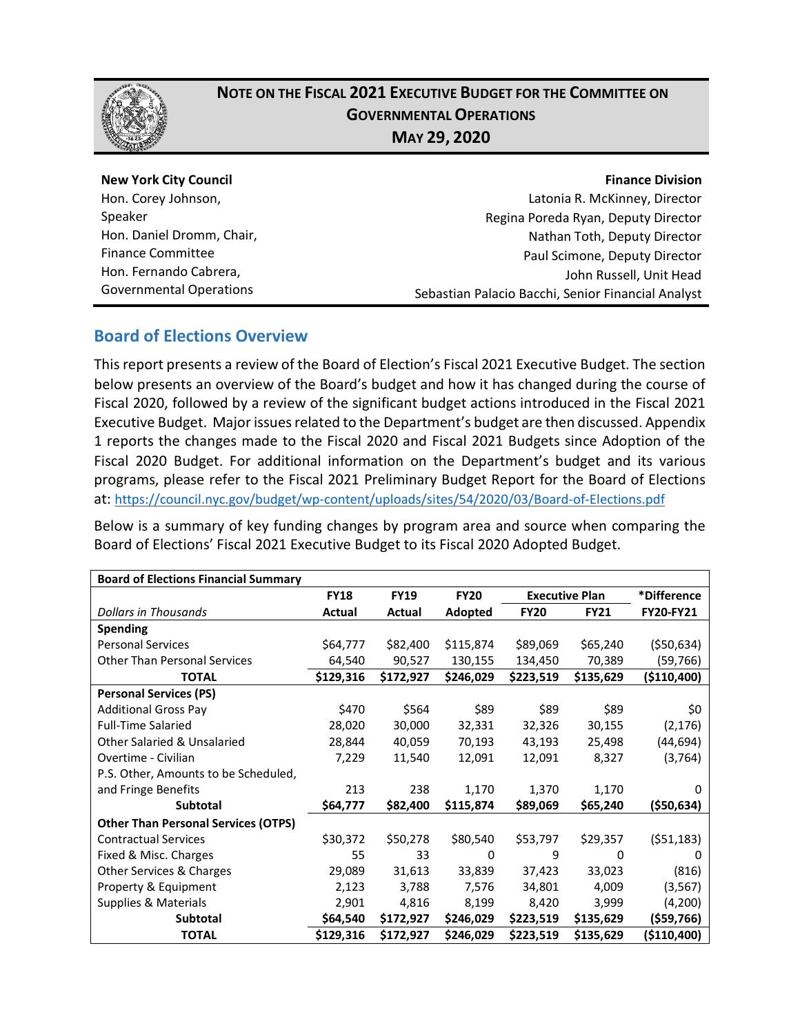

## **NOTE ON THE FISCAL 2021 EXECUTIVE BUDGET FOR THE COMMITTEE ON GOVERNMENTAL OPERATIONS MAY 29, 2020**

| <b>Finance Division</b>                            |
|----------------------------------------------------|
| Latonia R. McKinney, Director                      |
| Regina Poreda Ryan, Deputy Director                |
| Nathan Toth, Deputy Director                       |
| Paul Scimone, Deputy Director                      |
| John Russell, Unit Head                            |
| Sebastian Palacio Bacchi, Senior Financial Analyst |
|                                                    |

## **Board of Elections Overview**

This report presents a review of the Board of Election's Fiscal 2021 Executive Budget. The section below presents an overview of the Board's budget and how it has changed during the course of Fiscal 2020, followed by a review of the significant budget actions introduced in the Fiscal 2021 Executive Budget. Major issues related to the Department's budget are then discussed. Appendix 1 reports the changes made to the Fiscal 2020 and Fiscal 2021 Budgets since Adoption of the Fiscal 2020 Budget. For additional information on the Department's budget and its various programs, please refer to the Fiscal 2021 Preliminary Budget Report for the Board of Elections at:<https://council.nyc.gov/budget/wp-content/uploads/sites/54/2020/03/Board-of-Elections.pdf>

Below is a summary of key funding changes by program area and source when comparing the Board of Elections' Fiscal 2021 Executive Budget to its Fiscal 2020 Adopted Budget.

| <b>Board of Elections Financial Summary</b> |             |             |             |                       |             |                  |
|---------------------------------------------|-------------|-------------|-------------|-----------------------|-------------|------------------|
|                                             | <b>FY18</b> | <b>FY19</b> | <b>FY20</b> | <b>Executive Plan</b> |             | *Difference      |
| <b>Dollars in Thousands</b>                 | Actual      | Actual      | Adopted     | <b>FY20</b>           | <b>FY21</b> | <b>FY20-FY21</b> |
| <b>Spending</b>                             |             |             |             |                       |             |                  |
| <b>Personal Services</b>                    | \$64,777    | \$82,400    | \$115,874   | \$89,069              | \$65,240    | ( \$50,634)      |
| <b>Other Than Personal Services</b>         | 64,540      | 90,527      | 130,155     | 134,450               | 70,389      | (59, 766)        |
| <b>TOTAL</b>                                | \$129,316   | \$172,927   | \$246,029   | \$223,519             | \$135,629   | ( \$110,400)     |
| <b>Personal Services (PS)</b>               |             |             |             |                       |             |                  |
| <b>Additional Gross Pay</b>                 | \$470       | \$564       | \$89        | \$89                  | \$89        | \$0              |
| <b>Full-Time Salaried</b>                   | 28,020      | 30,000      | 32,331      | 32,326                | 30,155      | (2, 176)         |
| Other Salaried & Unsalaried                 | 28,844      | 40,059      | 70,193      | 43,193                | 25,498      | (44, 694)        |
| Overtime - Civilian                         | 7,229       | 11,540      | 12,091      | 12,091                | 8,327       | (3,764)          |
| P.S. Other, Amounts to be Scheduled,        |             |             |             |                       |             |                  |
| and Fringe Benefits                         | 213         | 238         | 1,170       | 1,370                 | 1,170       | 0                |
| <b>Subtotal</b>                             | \$64,777    | \$82,400    | \$115,874   | \$89,069              | \$65,240    | (\$50,634)       |
| <b>Other Than Personal Services (OTPS)</b>  |             |             |             |                       |             |                  |
| <b>Contractual Services</b>                 | \$30,372    | \$50,278    | \$80,540    | \$53,797              | \$29,357    | ( \$51,183)      |
| Fixed & Misc. Charges                       | 55          | 33          | $\Omega$    | 9                     | 0           | 0                |
| Other Services & Charges                    | 29,089      | 31,613      | 33,839      | 37,423                | 33,023      | (816)            |
| Property & Equipment                        | 2,123       | 3,788       | 7,576       | 34,801                | 4,009       | (3, 567)         |
| Supplies & Materials                        | 2,901       | 4,816       | 8,199       | 8,420                 | 3,999       | (4,200)          |
| <b>Subtotal</b>                             | \$64,540    | \$172,927   | \$246,029   | \$223,519             | \$135,629   | (\$59,766)       |
| <b>TOTAL</b>                                | \$129,316   | \$172,927   | \$246,029   | \$223,519             | \$135,629   | (\$110,400)      |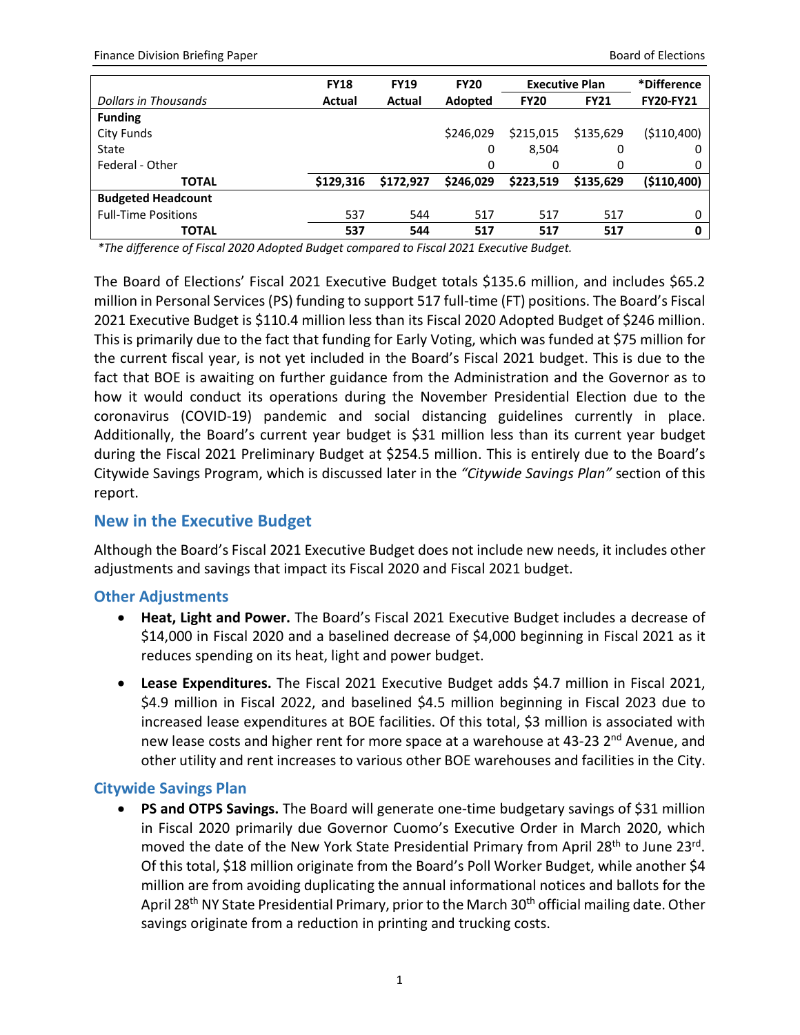|                            | <b>FY18</b> | <b>FY19</b> | <b>FY20</b> | <b>Executive Plan</b> |             | *Difference      |
|----------------------------|-------------|-------------|-------------|-----------------------|-------------|------------------|
| Dollars in Thousands       | Actual      | Actual      | Adopted     | <b>FY20</b>           | <b>FY21</b> | <b>FY20-FY21</b> |
| <b>Funding</b>             |             |             |             |                       |             |                  |
| City Funds                 |             |             | \$246,029   | \$215,015             | \$135.629   | (\$110,400)      |
| State                      |             |             | 0           | 8.504                 | 0           | 0                |
| Federal - Other            |             |             | 0           | 0                     | 0           | 0                |
| <b>TOTAL</b>               | \$129,316   | \$172.927   | \$246,029   | \$223,519             | \$135,629   | ( \$110,400)     |
| <b>Budgeted Headcount</b>  |             |             |             |                       |             |                  |
| <b>Full-Time Positions</b> | 537         | 544         | 517         | 517                   | 517         | 0                |
| <b>TOTAL</b>               | 537         | 544         | 517         | 517                   | 517         | 0                |

*\*The difference of Fiscal 2020 Adopted Budget compared to Fiscal 2021 Executive Budget.*

The Board of Elections' Fiscal 2021 Executive Budget totals \$135.6 million, and includes \$65.2 million in Personal Services (PS) funding to support 517 full-time (FT) positions. The Board's Fiscal 2021 Executive Budget is \$110.4 million less than its Fiscal 2020 Adopted Budget of \$246 million. This is primarily due to the fact that funding for Early Voting, which was funded at \$75 million for the current fiscal year, is not yet included in the Board's Fiscal 2021 budget. This is due to the fact that BOE is awaiting on further guidance from the Administration and the Governor as to how it would conduct its operations during the November Presidential Election due to the coronavirus (COVID-19) pandemic and social distancing guidelines currently in place. Additionally, the Board's current year budget is \$31 million less than its current year budget during the Fiscal 2021 Preliminary Budget at \$254.5 million. This is entirely due to the Board's Citywide Savings Program, which is discussed later in the *"Citywide Savings Plan"* section of this report.

## **New in the Executive Budget**

Although the Board's Fiscal 2021 Executive Budget does not include new needs, it includes other adjustments and savings that impact its Fiscal 2020 and Fiscal 2021 budget.

## **Other Adjustments**

- **Heat, Light and Power.** The Board's Fiscal 2021 Executive Budget includes a decrease of \$14,000 in Fiscal 2020 and a baselined decrease of \$4,000 beginning in Fiscal 2021 as it reduces spending on its heat, light and power budget.
- **Lease Expenditures.** The Fiscal 2021 Executive Budget adds \$4.7 million in Fiscal 2021, \$4.9 million in Fiscal 2022, and baselined \$4.5 million beginning in Fiscal 2023 due to increased lease expenditures at BOE facilities. Of this total, \$3 million is associated with new lease costs and higher rent for more space at a warehouse at 43-23  $2<sup>nd</sup>$  Avenue, and other utility and rent increases to various other BOE warehouses and facilities in the City.

#### **Citywide Savings Plan**

• **PS and OTPS Savings.** The Board will generate one-time budgetary savings of \$31 million in Fiscal 2020 primarily due Governor Cuomo's Executive Order in March 2020, which moved the date of the New York State Presidential Primary from April 28<sup>th</sup> to June 23<sup>rd</sup>. Of this total, \$18 million originate from the Board's Poll Worker Budget, while another \$4 million are from avoiding duplicating the annual informational notices and ballots for the April 28<sup>th</sup> NY State Presidential Primary, prior to the March 30<sup>th</sup> official mailing date. Other savings originate from a reduction in printing and trucking costs.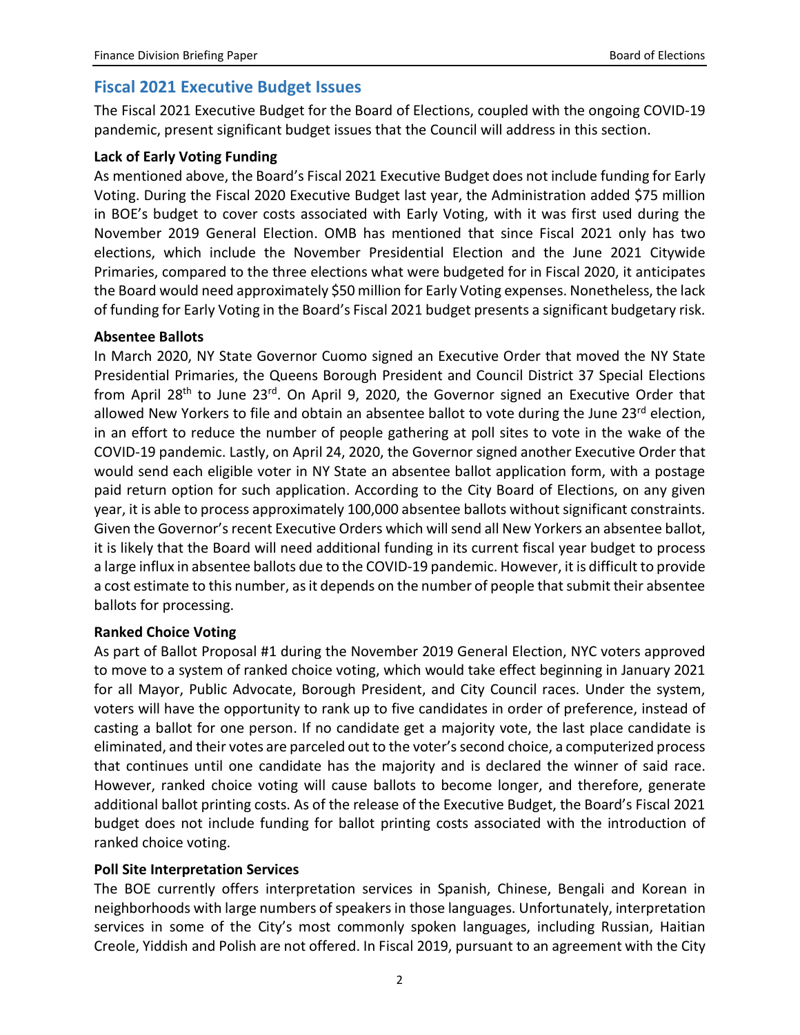## **Fiscal 2021 Executive Budget Issues**

The Fiscal 2021 Executive Budget for the Board of Elections, coupled with the ongoing COVID-19 pandemic, present significant budget issues that the Council will address in this section.

#### **Lack of Early Voting Funding**

As mentioned above, the Board's Fiscal 2021 Executive Budget does not include funding for Early Voting. During the Fiscal 2020 Executive Budget last year, the Administration added \$75 million in BOE's budget to cover costs associated with Early Voting, with it was first used during the November 2019 General Election. OMB has mentioned that since Fiscal 2021 only has two elections, which include the November Presidential Election and the June 2021 Citywide Primaries, compared to the three elections what were budgeted for in Fiscal 2020, it anticipates the Board would need approximately \$50 million for Early Voting expenses. Nonetheless, the lack of funding for Early Voting in the Board's Fiscal 2021 budget presents a significant budgetary risk.

#### **Absentee Ballots**

In March 2020, NY State Governor Cuomo signed an Executive Order that moved the NY State Presidential Primaries, the Queens Borough President and Council District 37 Special Elections from April 28<sup>th</sup> to June 23<sup>rd</sup>. On April 9, 2020, the Governor signed an Executive Order that allowed New Yorkers to file and obtain an absentee ballot to vote during the June 23<sup>rd</sup> election, in an effort to reduce the number of people gathering at poll sites to vote in the wake of the COVID-19 pandemic. Lastly, on April 24, 2020, the Governor signed another Executive Order that would send each eligible voter in NY State an absentee ballot application form, with a postage paid return option for such application. According to the City Board of Elections, on any given year, it is able to process approximately 100,000 absentee ballots without significant constraints. Given the Governor's recent Executive Orders which will send all New Yorkers an absentee ballot, it is likely that the Board will need additional funding in its current fiscal year budget to process a large influx in absentee ballots due to the COVID-19 pandemic. However, it is difficult to provide a cost estimate to this number, as it depends on the number of people that submit their absentee ballots for processing.

## **Ranked Choice Voting**

As part of Ballot Proposal #1 during the November 2019 General Election, NYC voters approved to move to a system of ranked choice voting, which would take effect beginning in January 2021 for all Mayor, Public Advocate, Borough President, and City Council races. Under the system, voters will have the opportunity to rank up to five candidates in order of preference, instead of casting a ballot for one person. If no candidate get a majority vote, the last place candidate is eliminated, and their votes are parceled out to the voter's second choice, a computerized process that continues until one candidate has the majority and is declared the winner of said race. However, ranked choice voting will cause ballots to become longer, and therefore, generate additional ballot printing costs. As of the release of the Executive Budget, the Board's Fiscal 2021 budget does not include funding for ballot printing costs associated with the introduction of ranked choice voting.

## **Poll Site Interpretation Services**

The BOE currently offers interpretation services in Spanish, Chinese, Bengali and Korean in neighborhoods with large numbers of speakers in those languages. Unfortunately, interpretation services in some of the City's most commonly spoken languages, including Russian, Haitian Creole, Yiddish and Polish are not offered. In Fiscal 2019, pursuant to an agreement with the City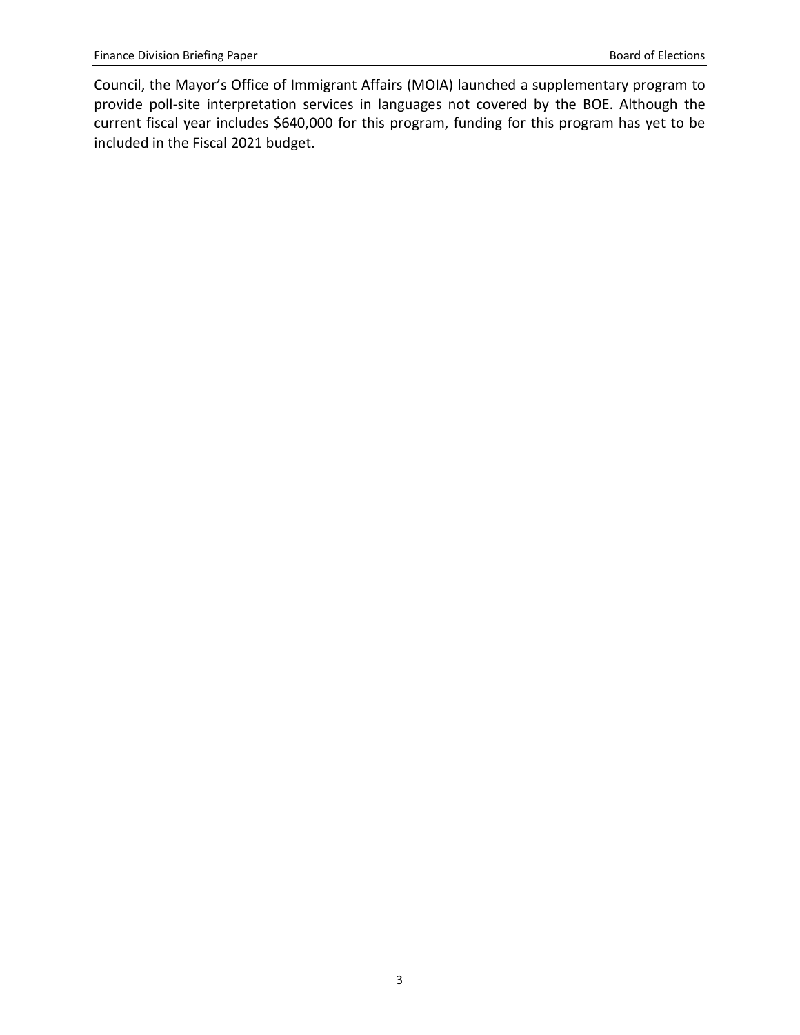Council, the Mayor's Office of Immigrant Affairs (MOIA) launched a supplementary program to provide poll-site interpretation services in languages not covered by the BOE. Although the current fiscal year includes \$640,000 for this program, funding for this program has yet to be included in the Fiscal 2021 budget.